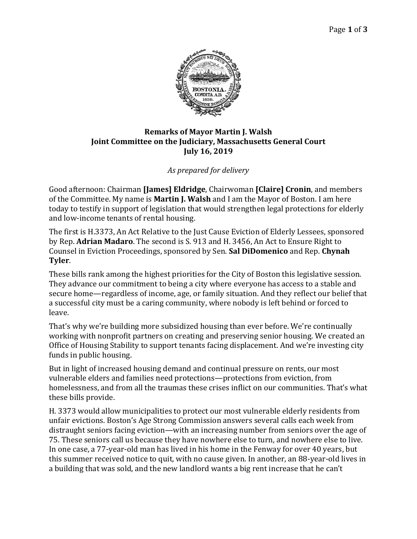

## **Remarks of Mayor Martin J. Walsh Joint Committee on the Judiciary, Massachusetts General Court July 16, 2019**

## *As prepared for delivery*

Good afternoon: Chairman **[James] Eldridge**, Chairwoman **[Claire] Cronin**, and members of the Committee. My name is **Martin J. Walsh** and I am the Mayor of Boston. I am here today to testify in support of legislation that would strengthen legal protections for elderly and low-income tenants of rental housing.

The first is H.3373, An Act Relative to the Just Cause Eviction of Elderly Lessees, sponsored by Rep. **Adrian Madaro**. The second is S. 913 and H. 3456, An Act to Ensure Right to Counsel in Eviction Proceedings, sponsored by Sen. **Sal DiDomenico** and Rep. **Chynah Tyler**.

These bills rank among the highest priorities for the City of Boston this legislative session. They advance our commitment to being a city where everyone has access to a stable and secure home—regardless of income, age, or family situation. And they reflect our belief that a successful city must be a caring community, where nobody is left behind or forced to leave.

That's why we're building more subsidized housing than ever before. We're continually working with nonprofit partners on creating and preserving senior housing. We created an Office of Housing Stability to support tenants facing displacement. And we're investing city funds in public housing.

But in light of increased housing demand and continual pressure on rents, our most vulnerable elders and families need protections—protections from eviction, from homelessness, and from all the traumas these crises inflict on our communities. That's what these bills provide.

H. 3373 would allow municipalities to protect our most vulnerable elderly residents from unfair evictions. Boston's Age Strong Commission answers several calls each week from distraught seniors facing eviction—with an increasing number from seniors over the age of 75. These seniors call us because they have nowhere else to turn, and nowhere else to live. In one case, a 77-year-old man has lived in his home in the Fenway for over 40 years, but this summer received notice to quit, with no cause given. In another, an 88-year-old lives in a building that was sold, and the new landlord wants a big rent increase that he can't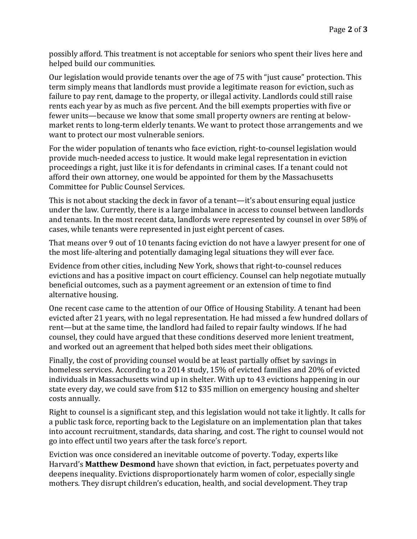possibly afford. This treatment is not acceptable for seniors who spent their lives here and helped build our communities.

Our legislation would provide tenants over the age of 75 with "just cause" protection. This term simply means that landlords must provide a legitimate reason for eviction, such as failure to pay rent, damage to the property, or illegal activity. Landlords could still raise rents each year by as much as five percent. And the bill exempts properties with five or fewer units—because we know that some small property owners are renting at belowmarket rents to long-term elderly tenants. We want to protect those arrangements and we want to protect our most vulnerable seniors.

For the wider population of tenants who face eviction, right-to-counsel legislation would provide much-needed access to justice. It would make legal representation in eviction proceedings a right, just like it is for defendants in criminal cases. If a tenant could not afford their own attorney, one would be appointed for them by the Massachusetts Committee for Public Counsel Services.

This is not about stacking the deck in favor of a tenant—it's about ensuring equal justice under the law. Currently, there is a large imbalance in access to counsel between landlords and tenants. In the most recent data, landlords were represented by counsel in over 58% of cases, while tenants were represented in just eight percent of cases.

That means over 9 out of 10 tenants facing eviction do not have a lawyer present for one of the most life-altering and potentially damaging legal situations they will ever face.

Evidence from other cities, including New York, shows that right-to-counsel reduces evictions and has a positive impact on court efficiency. Counsel can help negotiate mutually beneficial outcomes, such as a payment agreement or an extension of time to find alternative housing.

One recent case came to the attention of our Office of Housing Stability. A tenant had been evicted after 21 years, with no legal representation. He had missed a few hundred dollars of rent—but at the same time, the landlord had failed to repair faulty windows. If he had counsel, they could have argued that these conditions deserved more lenient treatment, and worked out an agreement that helped both sides meet their obligations.

Finally, the cost of providing counsel would be at least partially offset by savings in homeless services. According to a 2014 study, 15% of evicted families and 20% of evicted individuals in Massachusetts wind up in shelter. With up to 43 evictions happening in our state every day, we could save from \$12 to \$35 million on emergency housing and shelter costs annually.

Right to counsel is a significant step, and this legislation would not take it lightly. It calls for a public task force, reporting back to the Legislature on an implementation plan that takes into account recruitment, standards, data sharing, and cost. The right to counsel would not go into effect until two years after the task force's report.

Eviction was once considered an inevitable outcome of poverty. Today, experts like Harvard's **Matthew Desmond** have shown that eviction, in fact, perpetuates poverty and deepens inequality. Evictions disproportionately harm women of color, especially single mothers. They disrupt children's education, health, and social development. They trap